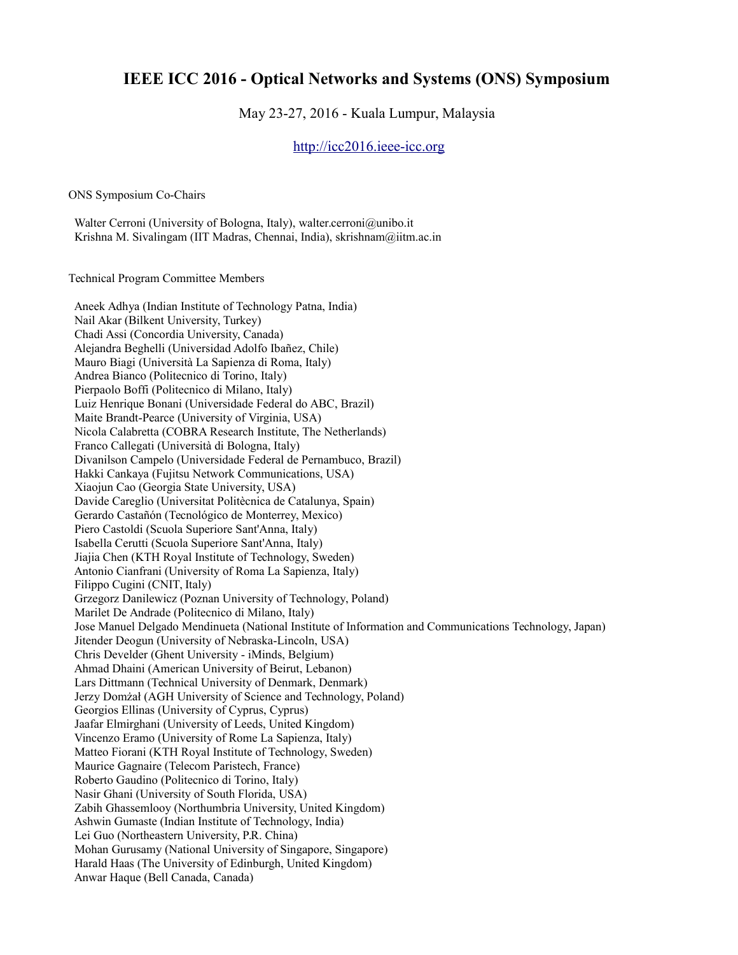## **IEEE ICC 2016 - Optical Networks and Systems (ONS) Symposium**

## May 23-27, 2016 - Kuala Lumpur, Malaysia

[http://icc2016.ieee-icc.org](http://icc2016.ieee-icc.org/)

ONS Symposium Co-Chairs

Walter Cerroni (University of Bologna, Italy), walter.cerroni@unibo.it Krishna M. Sivalingam (IIT Madras, Chennai, India), skrishnam@iitm.ac.in

Technical Program Committee Members

 Aneek Adhya (Indian Institute of Technology Patna, India) Nail Akar (Bilkent University, Turkey) Chadi Assi (Concordia University, Canada) Alejandra Beghelli (Universidad Adolfo Ibañez, Chile) Mauro Biagi (Università La Sapienza di Roma, Italy) Andrea Bianco (Politecnico di Torino, Italy) Pierpaolo Boffi (Politecnico di Milano, Italy) Luiz Henrique Bonani (Universidade Federal do ABC, Brazil) Maite Brandt-Pearce (University of Virginia, USA) Nicola Calabretta (COBRA Research Institute, The Netherlands) Franco Callegati (Università di Bologna, Italy) Divanilson Campelo (Universidade Federal de Pernambuco, Brazil) Hakki Cankaya (Fujitsu Network Communications, USA) Xiaojun Cao (Georgia State University, USA) Davide Careglio (Universitat Politècnica de Catalunya, Spain) Gerardo Castañón (Tecnológico de Monterrey, Mexico) Piero Castoldi (Scuola Superiore Sant'Anna, Italy) Isabella Cerutti (Scuola Superiore Sant'Anna, Italy) Jiajia Chen (KTH Royal Institute of Technology, Sweden) Antonio Cianfrani (University of Roma La Sapienza, Italy) Filippo Cugini (CNIT, Italy) Grzegorz Danilewicz (Poznan University of Technology, Poland) Marilet De Andrade (Politecnico di Milano, Italy) Jose Manuel Delgado Mendinueta (National Institute of Information and Communications Technology, Japan) Jitender Deogun (University of Nebraska-Lincoln, USA) Chris Develder (Ghent University - iMinds, Belgium) Ahmad Dhaini (American University of Beirut, Lebanon) Lars Dittmann (Technical University of Denmark, Denmark) Jerzy Domżał (AGH University of Science and Technology, Poland) Georgios Ellinas (University of Cyprus, Cyprus) Jaafar Elmirghani (University of Leeds, United Kingdom) Vincenzo Eramo (University of Rome La Sapienza, Italy) Matteo Fiorani (KTH Royal Institute of Technology, Sweden) Maurice Gagnaire (Telecom Paristech, France) Roberto Gaudino (Politecnico di Torino, Italy) Nasir Ghani (University of South Florida, USA) Zabih Ghassemlooy (Northumbria University, United Kingdom) Ashwin Gumaste (Indian Institute of Technology, India) Lei Guo (Northeastern University, P.R. China) Mohan Gurusamy (National University of Singapore, Singapore) Harald Haas (The University of Edinburgh, United Kingdom) Anwar Haque (Bell Canada, Canada)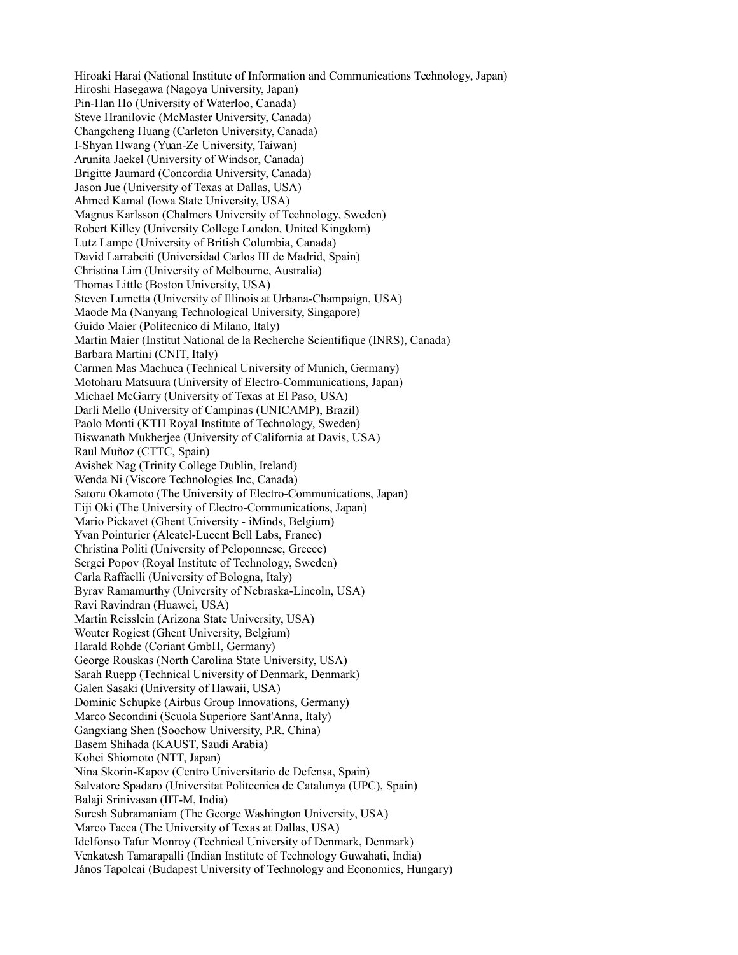Hiroaki Harai (National Institute of Information and Communications Technology, Japan) Hiroshi Hasegawa (Nagoya University, Japan) Pin-Han Ho (University of Waterloo, Canada) Steve Hranilovic (McMaster University, Canada) Changcheng Huang (Carleton University, Canada) I-Shyan Hwang (Yuan-Ze University, Taiwan) Arunita Jaekel (University of Windsor, Canada) Brigitte Jaumard (Concordia University, Canada) Jason Jue (University of Texas at Dallas, USA) Ahmed Kamal (Iowa State University, USA) Magnus Karlsson (Chalmers University of Technology, Sweden) Robert Killey (University College London, United Kingdom) Lutz Lampe (University of British Columbia, Canada) David Larrabeiti (Universidad Carlos III de Madrid, Spain) Christina Lim (University of Melbourne, Australia) Thomas Little (Boston University, USA) Steven Lumetta (University of Illinois at Urbana-Champaign, USA) Maode Ma (Nanyang Technological University, Singapore) Guido Maier (Politecnico di Milano, Italy) Martin Maier (Institut National de la Recherche Scientifique (INRS), Canada) Barbara Martini (CNIT, Italy) Carmen Mas Machuca (Technical University of Munich, Germany) Motoharu Matsuura (University of Electro-Communications, Japan) Michael McGarry (University of Texas at El Paso, USA) Darli Mello (University of Campinas (UNICAMP), Brazil) Paolo Monti (KTH Royal Institute of Technology, Sweden) Biswanath Mukherjee (University of California at Davis, USA) Raul Muñoz (CTTC, Spain) Avishek Nag (Trinity College Dublin, Ireland) Wenda Ni (Viscore Technologies Inc, Canada) Satoru Okamoto (The University of Electro-Communications, Japan) Eiji Oki (The University of Electro-Communications, Japan) Mario Pickavet (Ghent University - iMinds, Belgium) Yvan Pointurier (Alcatel-Lucent Bell Labs, France) Christina Politi (University of Peloponnese, Greece) Sergei Popov (Royal Institute of Technology, Sweden) Carla Raffaelli (University of Bologna, Italy) Byrav Ramamurthy (University of Nebraska-Lincoln, USA) Ravi Ravindran (Huawei, USA) Martin Reisslein (Arizona State University, USA) Wouter Rogiest (Ghent University, Belgium) Harald Rohde (Coriant GmbH, Germany) George Rouskas (North Carolina State University, USA) Sarah Ruepp (Technical University of Denmark, Denmark) Galen Sasaki (University of Hawaii, USA) Dominic Schupke (Airbus Group Innovations, Germany) Marco Secondini (Scuola Superiore Sant'Anna, Italy) Gangxiang Shen (Soochow University, P.R. China) Basem Shihada (KAUST, Saudi Arabia) Kohei Shiomoto (NTT, Japan) Nina Skorin-Kapov (Centro Universitario de Defensa, Spain) Salvatore Spadaro (Universitat Politecnica de Catalunya (UPC), Spain) Balaji Srinivasan (IIT-M, India) Suresh Subramaniam (The George Washington University, USA) Marco Tacca (The University of Texas at Dallas, USA) Idelfonso Tafur Monroy (Technical University of Denmark, Denmark) Venkatesh Tamarapalli (Indian Institute of Technology Guwahati, India) János Tapolcai (Budapest University of Technology and Economics, Hungary)